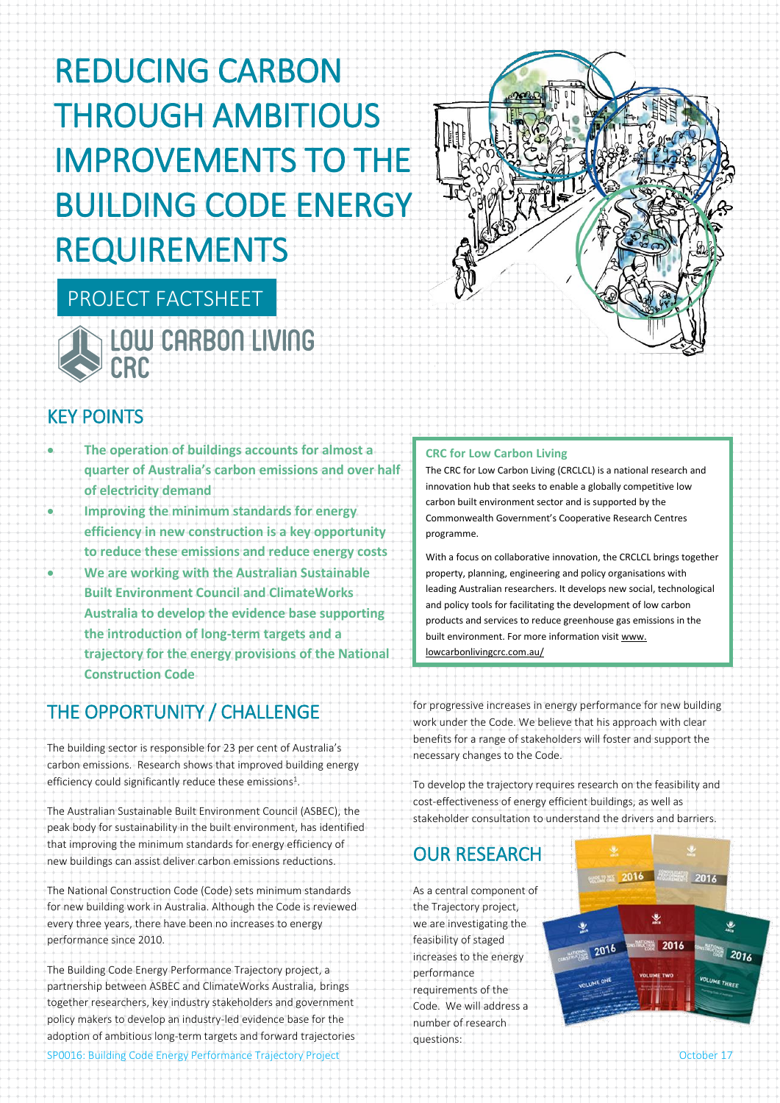# REDUCING CARBON THROUGH AMBITIOUS IMPROVEMENTS TO THE BUILDING CODE ENERGY REQUIREMENTS



# LOW CARBON LIVING CRC

PROJECT FACTSHEET

# KEY POINTS

- **The operation of buildings accounts for almost a quarter of Australia's carbon emissions and over half of electricity demand**
- **Improving the minimum standards for energy efficiency in new construction is a key opportunity to reduce these emissions and reduce energy costs** • **We are working with the Australian Sustainable Built Environment Council and ClimateWorks Australia to develop the evidence base supporting the introduction of long-term targets and a trajectory for the energy provisions of the National Construction Code**

# THE OPPORTUNITY / CHALLENGE

The building sector is responsible for 23 per cent of Australia's carbon emissions. Research shows that improved building energy efficiency could significantly reduce these emissions<sup>1</sup>.

The Australian Sustainable Built Environment Council (ASBEC), the peak body for sustainability in the built environment, has identified that improving the minimum standards for energy efficiency of new buildings can assist deliver carbon emissions reductions.

The National Construction Code (Code) sets minimum standards for new building work in Australia. Although the Code is reviewed every three years, there have been no increases to energy performance since 2010.

SP0016: Building Code Energy Performance Trajectory Project **Contact Contact Contact Contact Contact Contact Contact Contact Contact Contact Contact Contact Contact Contact Contact Contact Contact Contact Contact Contact C** The Building Code Energy Performance Trajectory project, a partnership between ASBEC and ClimateWorks Australia, brings together researchers, key industry stakeholders and government policy makers to develop an industry-led evidence base for the adoption of ambitious long-term targets and forward trajectories

#### **CRC for Low Carbon Living**

The CRC for Low Carbon Living (CRCLCL) is a national research and innovation hub that seeks to enable a globally competitive low carbon built environment sector and is supported by the Commonwealth Government's Cooperative Research Centres programme.

With a focus on collaborative innovation, the CRCLCL brings together property, planning, engineering and policy organisations with leading Australian researchers. It develops new social, technological and policy tools for facilitating the development of low carbon products and services to reduce greenhouse gas emissions in the built environment. For more information visit www. lowcarbonlivingcrc.com.au/

for progressive increases in energy performance for new building work under the Code. We believe that his approach with clear benefits for a range of stakeholders will foster and support the necessary changes to the Code.

To develop the trajectory requires research on the feasibility and cost-effectiveness of energy efficient buildings, as well as stakeholder consultation to understand the drivers and barriers.

# OUR RESEARCH

As a central component of the Trajectory project, we are investigating the feasibility of staged increases to the energy performance requirements of the Code. We will address a number of research questions: